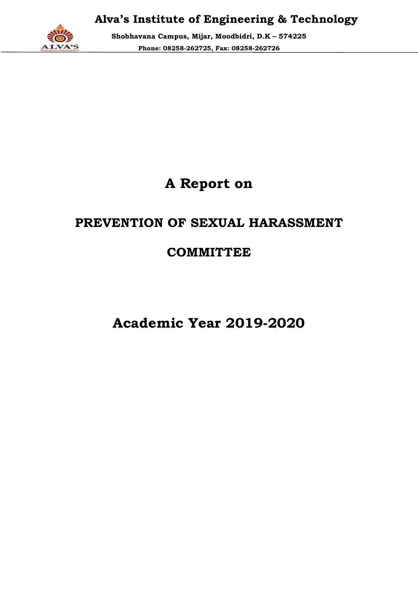

Shobhavana Campus, Mijar, Moodbidri, D.K D.K – 574225 Phone: 08258 08258-262725, Fax: 08258-262726

# A Report on

## PREVENTION OF SEXUAL HARASSMENT

## **COMMITTEE**

Academic Year 2019 2019-2020 2020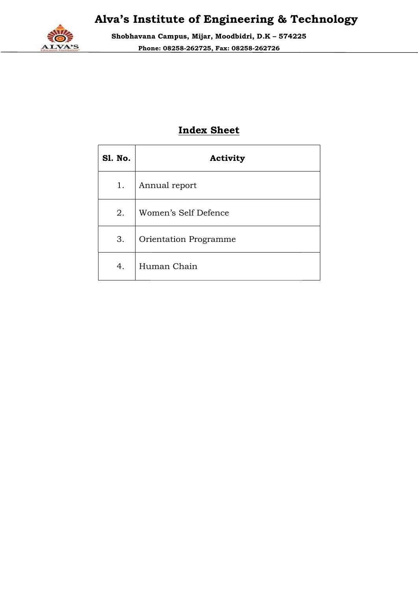

Shobhavana Campus, Mijar, Moodbidri, D.K D.K – 574225 Phone: 08258 08258-262725, Fax: 08258-262726

### Index Sheet

| <b>S1. No.</b> | Activity              |
|----------------|-----------------------|
| 1.             | Annual report         |
| 2.             | Women's Self Defence  |
| 3.             | Orientation Programme |
| 4.             | Human Chain           |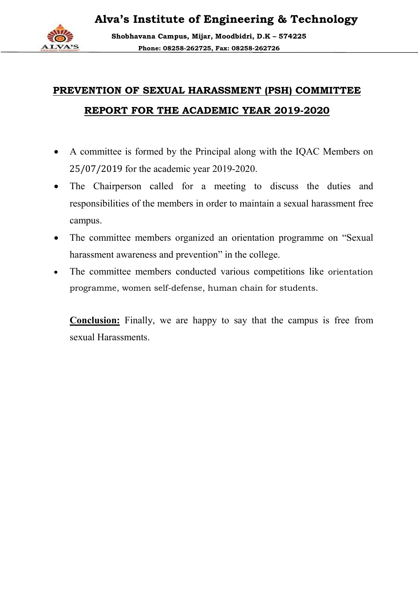Shobhavana Campus, Mijar, Moodbidri, D.K D.K – 574225 Phone: 08258 08258-262725, Fax: 08258-262726

# PREVENTION OF SEXUAL HARASSMENT (PSH) COMMITTEE PREVENTION REPORT FOR THE ACADEMIC YEAR 2019-

- A committee is formed by the Principal along with the IQAC Members on 25/07/2019 for the academic year 2019-2020. 25/07/2019 for the academic year 2019
- The Chairperson called for a meeting to discuss the duties and responsibilities of the members in order to maintain a sexual harassment free campus. **THE ACADEMIC YEAR 2019-2020**<br>d by the Principal along with the IQAC Membe<br>cademic year 2019-2020.<br>Iled for a meeting to discuss the duties<br>members in order to maintain a sexual harassmen<br>ers organized an orientation progr
- The committee members organized an orientation programme on "Sexual harassment awareness and prevention" in the college. order to maintain a sexual harassment free<br>
sus.<br>
committee members organized an orientation programme on "Sexual<br>
sment awareness and prevention" in the college.<br>
committee members conducted various competitions like orie
- The committee members conducted various competitions like orientation programme, women self-defense, human chain for students.

Conclusion: Finally, we are happy to say that the campus is free from sexual Harassments.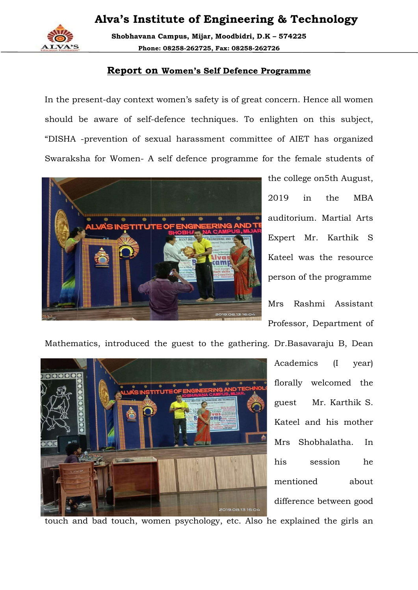

Shobhavana Campus, Mijar, Moodbidri, D.K D.K – 574225 Phone: 08258 08258-262725, Fax: 08258-262726

#### Report on Women's Self Defence Programme

In the present-day context women's safety is of great concern. Hence all women In the present-day context women's safety is of great concern. Hence all women<br>should be aware of self-defence techniques. To enlighten on this subject, "DISHA -prevention of sexual harassment committee of AIET has organized Swaraksha for Women- A self defence programme for the female students of prevention of sexual harassment committee of AIET has organized<br>a for Women- A self defence programme for the female students of<br>the college on5th August,



2019 in the MBA auditorium. Martial Arts Expert Mr. Karthik S Kateel was the resource person of the programme

Mrs Rashmi Assistant Professor, Department of



florally welcomed the guest Mr. Karthik S. Kateel and his mother Mrs Shobhalatha. his session he mentioned about difference between good

touch and bad touch, women psychology, etc. Also he explained the girls an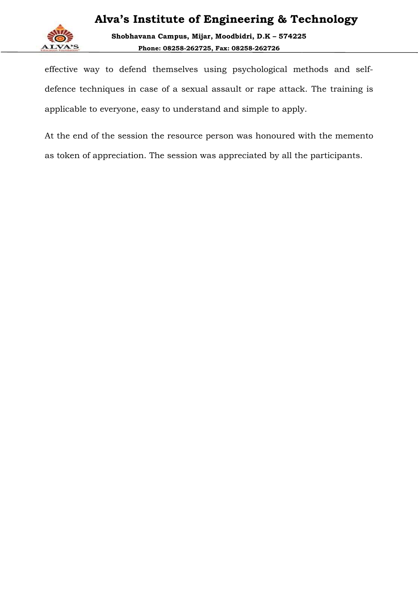

Shobhavana Campus, Mijar, Moodbidri, D.K D.K – 574225 Phone: 08258 08258-262725, Fax: 08258-262726

effective way to defend themselves using psychological methods and self defence techniques in case of a sexual assault or rape attack. The training is applicable to everyone, easy to understand and simple to apply. ective way to defend themselves using psychological methods and self-<br>ence techniques in case of a sexual assault or rape attack. The training is<br>plicable to everyone, easy to understand and simple to apply.<br>the end of the

At the end of the session the resource person was honoured with the memento as token of appreciation. The session was appreciated by all the participants.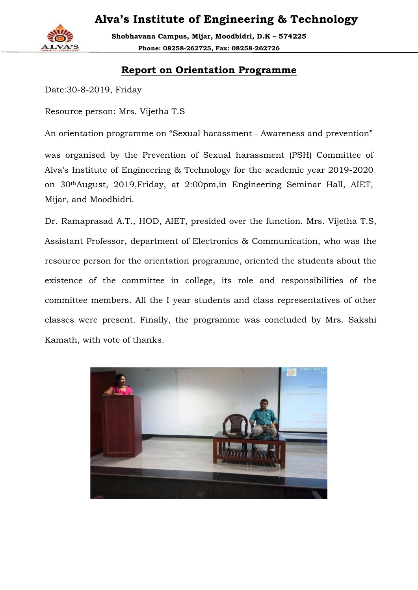

Shobhavana Campus, Mijar, Moodbidri, D.K D.K – 574225 Phone: 08258 08258-262725, Fax: 08258-262726

#### Report on Orientation Programme

Date:30-8-2019, Friday

Resource person: Mrs. Vijetha T.S

An orientation programme on "Sexual harassment - Awareness and prevention"

was organised by the Prevention of Sexual harassment (PSH) Committee of Alva's Institute of Engineering & Technology for the academic year 2019 2019-2020 on 30thAugust, 2019,Friday, at 2:00pm,in Engineering Seminar Hall, AIET, Mijar, and Moodbidri.

Dr. Ramaprasad A.T., HOD, AIET, presided over the function. Mrs. Vijetha T.S, Assistant Professor, department of Electronics & Communication, who was the resource person for the orientation programme, oriented the students about the existence of the committee in college, its role and responsibilities of the committee members. All the I year students and class representatives of other classes were present. Finally, the programm e Kamath, with vote of thanks. was organised by the Prevention of Sexual harassment (PSH) Committee of<br>Alva's Institute of Engineering & Technology for the academic year 2019-2020<br>on 30<sup>th</sup>August, 2019,Friday, at 2:00pm,in Engineering Seminar Hall, AIET